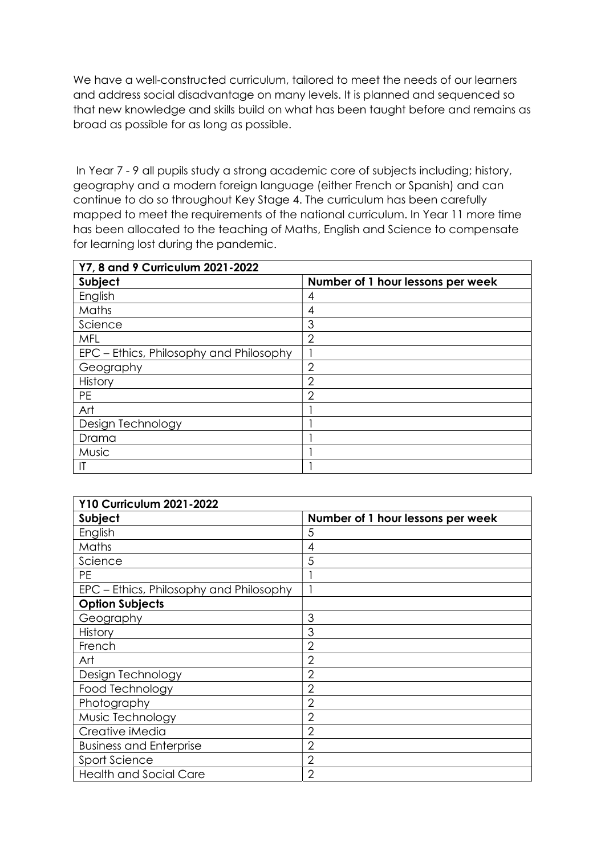We have a well-constructed curriculum, tailored to meet the needs of our learners and address social disadvantage on many levels. It is planned and sequenced so that new knowledge and skills build on what has been taught before and remains as broad as possible for as long as possible.

 In Year 7 - 9 all pupils study a strong academic core of subjects including; history, geography and a modern foreign language (either French or Spanish) and can continue to do so throughout Key Stage 4. The curriculum has been carefully mapped to meet the requirements of the national curriculum. In Year 11 more time has been allocated to the teaching of Maths, English and Science to compensate for learning lost during the pandemic.

| Y7, 8 and 9 Curriculum 2021-2022        |                                   |
|-----------------------------------------|-----------------------------------|
| Subject                                 | Number of 1 hour lessons per week |
| English                                 | 4                                 |
| Maths                                   | 4                                 |
| Science                                 | 3                                 |
| <b>MFL</b>                              | 2                                 |
| EPC – Ethics, Philosophy and Philosophy |                                   |
| Geography                               | 2                                 |
| History                                 | 2                                 |
| <b>PE</b>                               | ◠                                 |
| Art                                     |                                   |
| Design Technology                       |                                   |
| Drama                                   |                                   |
| Music                                   |                                   |
| $\mathsf{I}\mathsf{T}$                  |                                   |

| <b>Y10 Curriculum 2021-2022</b>         |                                   |
|-----------------------------------------|-----------------------------------|
| Subject                                 | Number of 1 hour lessons per week |
| English                                 | 5                                 |
| Maths                                   | 4                                 |
| Science                                 | 5                                 |
| <b>PE</b>                               |                                   |
| EPC – Ethics, Philosophy and Philosophy |                                   |
| <b>Option Subjects</b>                  |                                   |
| Geography                               | 3                                 |
| History                                 | 3                                 |
| French                                  | $\overline{2}$                    |
| Art                                     | $\overline{2}$                    |
| Design Technology                       | $\overline{2}$                    |
| Food Technology                         | $\overline{2}$                    |
| Photography                             | $\overline{2}$                    |
| Music Technology                        | $\overline{2}$                    |
| Creative iMedia                         | $\overline{2}$                    |
| <b>Business and Enterprise</b>          | $\overline{2}$                    |
| Sport Science                           | 2                                 |
| <b>Health and Social Care</b>           | $\overline{2}$                    |